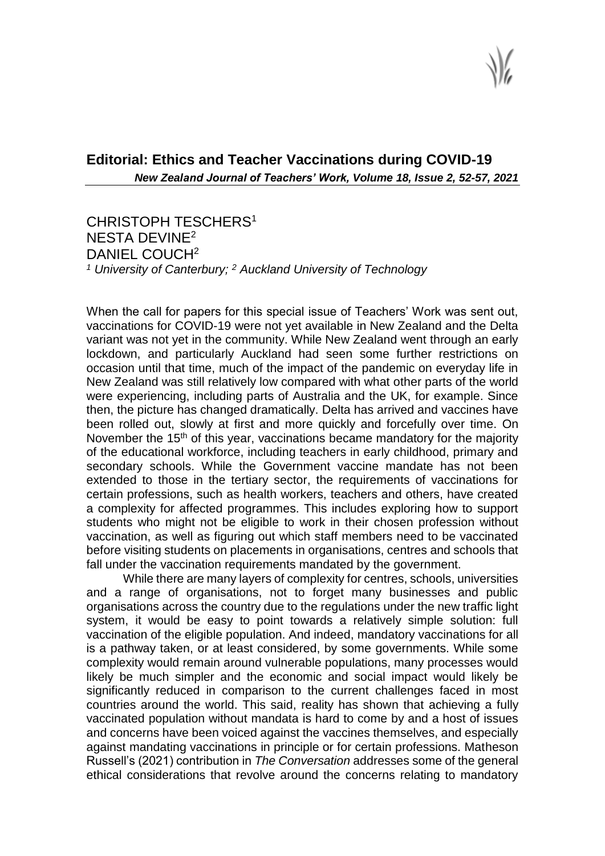## **Editorial: Ethics and Teacher Vaccinations during COVID-19** *New Zealand Journal of Teachers' Work, Volume 18, Issue 2, 52-57, 2021*

CHRISTOPH TESCHERS<sup>1</sup> NESTA DEVINE<sup>2</sup> DANIEL COUCH<sup>2</sup> *<sup>1</sup> University of Canterbury; <sup>2</sup> Auckland University of Technology*

When the call for papers for this special issue of Teachers' Work was sent out, vaccinations for COVID-19 were not yet available in New Zealand and the Delta variant was not yet in the community. While New Zealand went through an early lockdown, and particularly Auckland had seen some further restrictions on occasion until that time, much of the impact of the pandemic on everyday life in New Zealand was still relatively low compared with what other parts of the world were experiencing, including parts of Australia and the UK, for example. Since then, the picture has changed dramatically. Delta has arrived and vaccines have been rolled out, slowly at first and more quickly and forcefully over time. On November the 15<sup>th</sup> of this year, vaccinations became mandatory for the majority of the educational workforce, including teachers in early childhood, primary and secondary schools. While the Government vaccine mandate has not been extended to those in the tertiary sector, the requirements of vaccinations for certain professions, such as health workers, teachers and others, have created a complexity for affected programmes. This includes exploring how to support students who might not be eligible to work in their chosen profession without vaccination, as well as figuring out which staff members need to be vaccinated before visiting students on placements in organisations, centres and schools that fall under the vaccination requirements mandated by the government.

While there are many layers of complexity for centres, schools, universities and a range of organisations, not to forget many businesses and public organisations across the country due to the regulations under the new traffic light system, it would be easy to point towards a relatively simple solution: full vaccination of the eligible population. And indeed, mandatory vaccinations for all is a pathway taken, or at least considered, by some governments. While some complexity would remain around vulnerable populations, many processes would likely be much simpler and the economic and social impact would likely be significantly reduced in comparison to the current challenges faced in most countries around the world. This said, reality has shown that achieving a fully vaccinated population without mandata is hard to come by and a host of issues and concerns have been voiced against the vaccines themselves, and especially against mandating vaccinations in principle or for certain professions. Matheson Russell's (2021) contribution in *The Conversation* addresses some of the general ethical considerations that revolve around the concerns relating to mandatory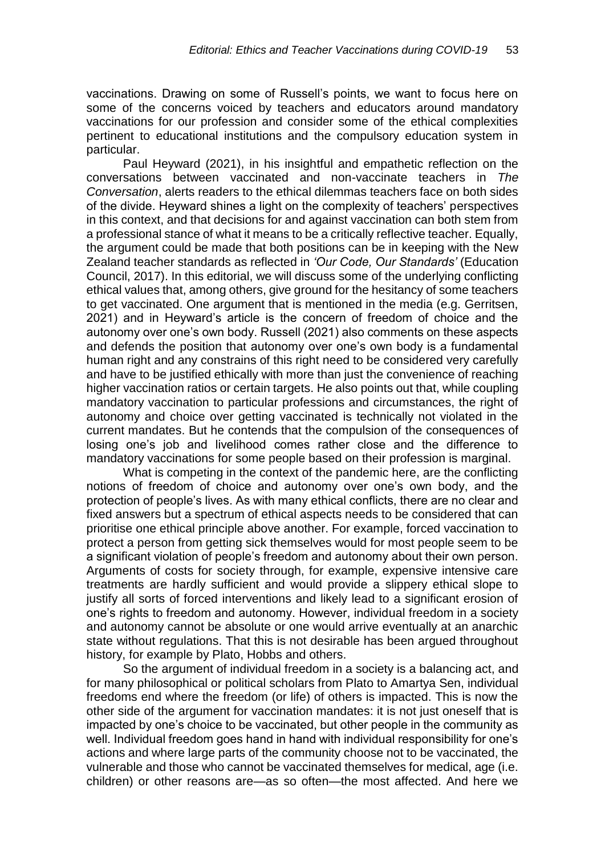vaccinations. Drawing on some of Russell's points, we want to focus here on some of the concerns voiced by teachers and educators around mandatory vaccinations for our profession and consider some of the ethical complexities pertinent to educational institutions and the compulsory education system in particular.

Paul Heyward (2021), in his insightful and empathetic reflection on the conversations between vaccinated and non-vaccinate teachers in *The Conversation*, alerts readers to the ethical dilemmas teachers face on both sides of the divide. Heyward shines a light on the complexity of teachers' perspectives in this context, and that decisions for and against vaccination can both stem from a professional stance of what it means to be a critically reflective teacher. Equally, the argument could be made that both positions can be in keeping with the New Zealand teacher standards as reflected in *'Our Code, Our Standards'* (Education Council, 2017). In this editorial, we will discuss some of the underlying conflicting ethical values that, among others, give ground for the hesitancy of some teachers to get vaccinated. One argument that is mentioned in the media (e.g. Gerritsen, 2021) and in Heyward's article is the concern of freedom of choice and the autonomy over one's own body. Russell (2021) also comments on these aspects and defends the position that autonomy over one's own body is a fundamental human right and any constrains of this right need to be considered very carefully and have to be justified ethically with more than just the convenience of reaching higher vaccination ratios or certain targets. He also points out that, while coupling mandatory vaccination to particular professions and circumstances, the right of autonomy and choice over getting vaccinated is technically not violated in the current mandates. But he contends that the compulsion of the consequences of losing one's job and livelihood comes rather close and the difference to mandatory vaccinations for some people based on their profession is marginal.

What is competing in the context of the pandemic here, are the conflicting notions of freedom of choice and autonomy over one's own body, and the protection of people's lives. As with many ethical conflicts, there are no clear and fixed answers but a spectrum of ethical aspects needs to be considered that can prioritise one ethical principle above another. For example, forced vaccination to protect a person from getting sick themselves would for most people seem to be a significant violation of people's freedom and autonomy about their own person. Arguments of costs for society through, for example, expensive intensive care treatments are hardly sufficient and would provide a slippery ethical slope to justify all sorts of forced interventions and likely lead to a significant erosion of one's rights to freedom and autonomy. However, individual freedom in a society and autonomy cannot be absolute or one would arrive eventually at an anarchic state without regulations. That this is not desirable has been argued throughout history, for example by Plato, Hobbs and others.

So the argument of individual freedom in a society is a balancing act, and for many philosophical or political scholars from Plato to Amartya Sen, individual freedoms end where the freedom (or life) of others is impacted. This is now the other side of the argument for vaccination mandates: it is not just oneself that is impacted by one's choice to be vaccinated, but other people in the community as well. Individual freedom goes hand in hand with individual responsibility for one's actions and where large parts of the community choose not to be vaccinated, the vulnerable and those who cannot be vaccinated themselves for medical, age (i.e. children) or other reasons are—as so often—the most affected. And here we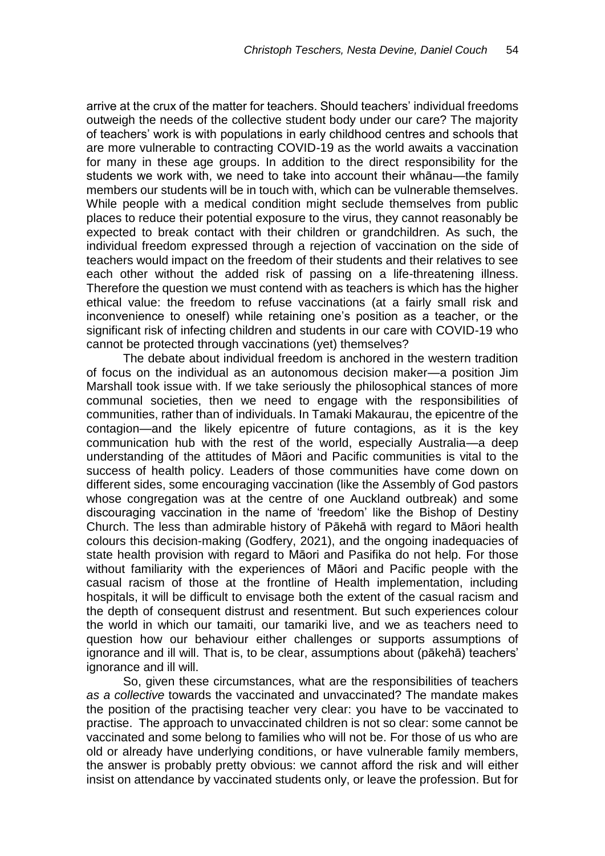arrive at the crux of the matter for teachers. Should teachers' individual freedoms outweigh the needs of the collective student body under our care? The majority of teachers' work is with populations in early childhood centres and schools that are more vulnerable to contracting COVID-19 as the world awaits a vaccination for many in these age groups. In addition to the direct responsibility for the students we work with, we need to take into account their whānau—the family members our students will be in touch with, which can be vulnerable themselves. While people with a medical condition might seclude themselves from public places to reduce their potential exposure to the virus, they cannot reasonably be expected to break contact with their children or grandchildren. As such, the individual freedom expressed through a rejection of vaccination on the side of teachers would impact on the freedom of their students and their relatives to see each other without the added risk of passing on a life-threatening illness. Therefore the question we must contend with as teachers is which has the higher ethical value: the freedom to refuse vaccinations (at a fairly small risk and inconvenience to oneself) while retaining one's position as a teacher, or the significant risk of infecting children and students in our care with COVID-19 who cannot be protected through vaccinations (yet) themselves?

The debate about individual freedom is anchored in the western tradition of focus on the individual as an autonomous decision maker—a position Jim Marshall took issue with. If we take seriously the philosophical stances of more communal societies, then we need to engage with the responsibilities of communities, rather than of individuals. In Tamaki Makaurau, the epicentre of the contagion—and the likely epicentre of future contagions, as it is the key communication hub with the rest of the world, especially Australia—a deep understanding of the attitudes of Māori and Pacific communities is vital to the success of health policy. Leaders of those communities have come down on different sides, some encouraging vaccination (like the Assembly of God pastors whose congregation was at the centre of one Auckland outbreak) and some discouraging vaccination in the name of 'freedom' like the Bishop of Destiny Church. The less than admirable history of Pākehā with regard to Māori health colours this decision-making (Godfery, 2021), and the ongoing inadequacies of state health provision with regard to Māori and Pasifika do not help. For those without familiarity with the experiences of Māori and Pacific people with the casual racism of those at the frontline of Health implementation, including hospitals, it will be difficult to envisage both the extent of the casual racism and the depth of consequent distrust and resentment. But such experiences colour the world in which our tamaiti, our tamariki live, and we as teachers need to question how our behaviour either challenges or supports assumptions of ignorance and ill will. That is, to be clear, assumptions about (pākehā) teachers' ignorance and ill will.

So, given these circumstances, what are the responsibilities of teachers *as a collective* towards the vaccinated and unvaccinated? The mandate makes the position of the practising teacher very clear: you have to be vaccinated to practise. The approach to unvaccinated children is not so clear: some cannot be vaccinated and some belong to families who will not be. For those of us who are old or already have underlying conditions, or have vulnerable family members, the answer is probably pretty obvious: we cannot afford the risk and will either insist on attendance by vaccinated students only, or leave the profession. But for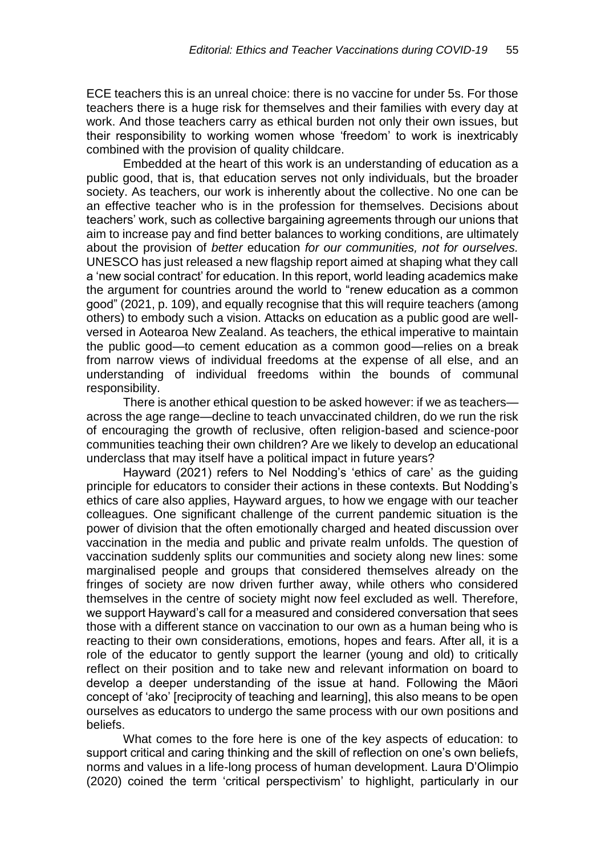ECE teachers this is an unreal choice: there is no vaccine for under 5s. For those teachers there is a huge risk for themselves and their families with every day at work. And those teachers carry as ethical burden not only their own issues, but their responsibility to working women whose 'freedom' to work is inextricably combined with the provision of quality childcare.

Embedded at the heart of this work is an understanding of education as a public good, that is, that education serves not only individuals, but the broader society. As teachers, our work is inherently about the collective. No one can be an effective teacher who is in the profession for themselves. Decisions about teachers' work, such as collective bargaining agreements through our unions that aim to increase pay and find better balances to working conditions, are ultimately about the provision of *better* education *for our communities, not for ourselves.* UNESCO has just released a new flagship report aimed at shaping what they call a 'new social contract' for education. In this report, world leading academics make the argument for countries around the world to "renew education as a common good" (2021, p. 109), and equally recognise that this will require teachers (among others) to embody such a vision. Attacks on education as a public good are wellversed in Aotearoa New Zealand. As teachers, the ethical imperative to maintain the public good—to cement education as a common good—relies on a break from narrow views of individual freedoms at the expense of all else, and an understanding of individual freedoms within the bounds of communal responsibility.

There is another ethical question to be asked however: if we as teachers across the age range—decline to teach unvaccinated children, do we run the risk of encouraging the growth of reclusive, often religion-based and science-poor communities teaching their own children? Are we likely to develop an educational underclass that may itself have a political impact in future years?

Hayward (2021) refers to Nel Nodding's 'ethics of care' as the guiding principle for educators to consider their actions in these contexts. But Nodding's ethics of care also applies, Hayward argues, to how we engage with our teacher colleagues. One significant challenge of the current pandemic situation is the power of division that the often emotionally charged and heated discussion over vaccination in the media and public and private realm unfolds. The question of vaccination suddenly splits our communities and society along new lines: some marginalised people and groups that considered themselves already on the fringes of society are now driven further away, while others who considered themselves in the centre of society might now feel excluded as well. Therefore, we support Hayward's call for a measured and considered conversation that sees those with a different stance on vaccination to our own as a human being who is reacting to their own considerations, emotions, hopes and fears. After all, it is a role of the educator to gently support the learner (young and old) to critically reflect on their position and to take new and relevant information on board to develop a deeper understanding of the issue at hand. Following the Māori concept of 'ako' [reciprocity of teaching and learning], this also means to be open ourselves as educators to undergo the same process with our own positions and beliefs.

What comes to the fore here is one of the key aspects of education: to support critical and caring thinking and the skill of reflection on one's own beliefs, norms and values in a life-long process of human development. Laura D'Olimpio (2020) coined the term 'critical perspectivism' to highlight, particularly in our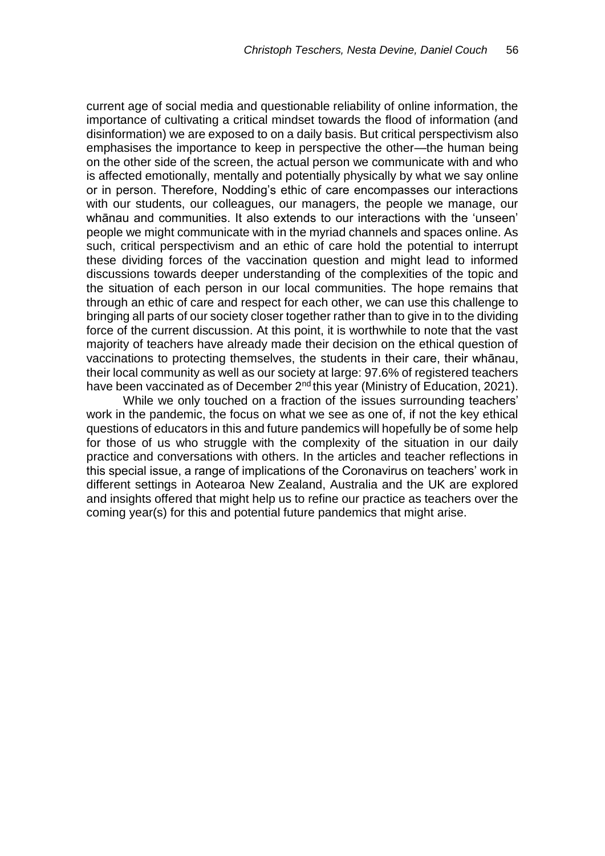current age of social media and questionable reliability of online information, the importance of cultivating a critical mindset towards the flood of information (and disinformation) we are exposed to on a daily basis. But critical perspectivism also emphasises the importance to keep in perspective the other—the human being on the other side of the screen, the actual person we communicate with and who is affected emotionally, mentally and potentially physically by what we say online or in person. Therefore, Nodding's ethic of care encompasses our interactions with our students, our colleagues, our managers, the people we manage, our whānau and communities. It also extends to our interactions with the 'unseen' people we might communicate with in the myriad channels and spaces online. As such, critical perspectivism and an ethic of care hold the potential to interrupt these dividing forces of the vaccination question and might lead to informed discussions towards deeper understanding of the complexities of the topic and the situation of each person in our local communities. The hope remains that through an ethic of care and respect for each other, we can use this challenge to bringing all parts of our society closer together rather than to give in to the dividing force of the current discussion. At this point, it is worthwhile to note that the vast majority of teachers have already made their decision on the ethical question of vaccinations to protecting themselves, the students in their care, their whānau, their local community as well as our society at large: 97.6% of registered teachers have been vaccinated as of December 2<sup>nd</sup> this year (Ministry of Education, 2021).

While we only touched on a fraction of the issues surrounding teachers' work in the pandemic, the focus on what we see as one of, if not the key ethical questions of educators in this and future pandemics will hopefully be of some help for those of us who struggle with the complexity of the situation in our daily practice and conversations with others. In the articles and teacher reflections in this special issue, a range of implications of the Coronavirus on teachers' work in different settings in Aotearoa New Zealand, Australia and the UK are explored and insights offered that might help us to refine our practice as teachers over the coming year(s) for this and potential future pandemics that might arise.